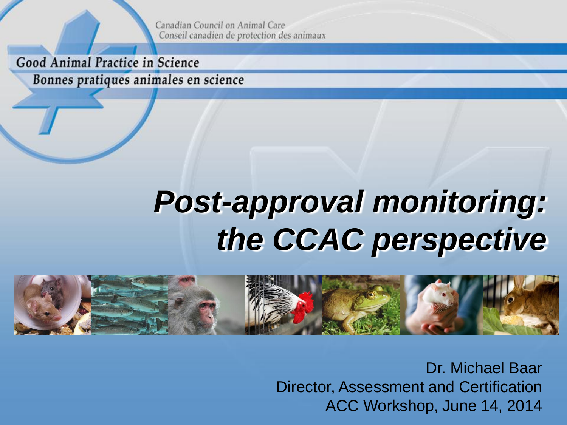Canadian Council on Animal Care Conseil canadien de protection des animaux

Good Animal Practice in Science

Bonnes pratiques animales en science

# *Post-approval monitoring: the CCAC perspective*



Dr. Michael Baar Director, Assessment and Certification ACC Workshop, June 14, 2014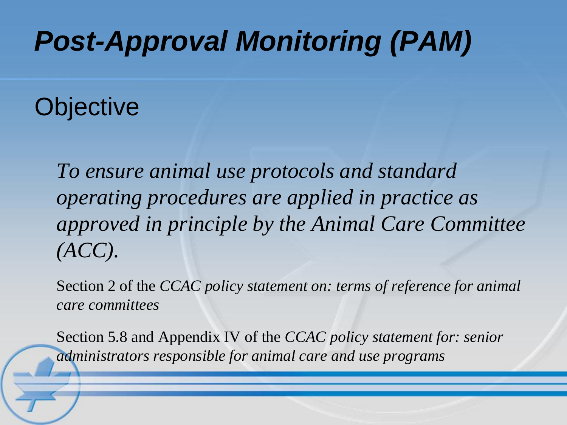## *Post-Approval Monitoring (PAM)*

**Objective** 

*To ensure animal use protocols and standard operating procedures are applied in practice as approved in principle by the Animal Care Committee (ACC).*

Section 2 of the *CCAC policy statement on: terms of reference for animal care committees*

Section 5.8 and Appendix IV of the *CCAC policy statement for: senior administrators responsible for animal care and use programs*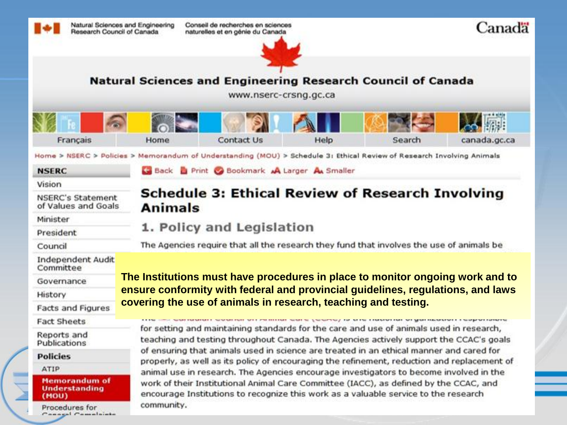

Conseil de recherches en sciences naturelles et en génie du Canada





**Natural Sciences and Engineering Research Council of Canada** 

www.nserc-crsng.gc.ca

| Na<br>$\widehat{\phantom{a}}$ | <b>POST</b><br>固く |            | AII  | <b>DESCRIPTION</b> | 人願           |
|-------------------------------|-------------------|------------|------|--------------------|--------------|
| Français                      | Home              | Contact Us | Help | Search             | canada.gc.ca |

Home > NSERC > Policies > Memorandum of Understanding (MOU) > Schedule 3: Ethical Review of Research Involving Animals

Back Print Bookmark A Larger A Smaller

|  | . . | ٤ |  |
|--|-----|---|--|

Vision

| NSERC's Statement   |  |
|---------------------|--|
| of Values and Goals |  |

Minister

President

Council

**Independent Audit** Committee

Governance

History

**Facts and Figures** 

Fact Sheets

Reports and Publications

**Policies** 

ATIP

**Memorandum of Understanding** (MOU)

Procedures for Connect Complete

#### **Schedule 3: Ethical Review of Research Involving Animals**

#### 1. Policy and Legislation

The Agencies require that all the research they fund that involves the use of animals be

**The Institutions must have procedures in place to monitor ongoing work and to ensure conformity with federal and provincial guidelines, regulations, and laws covering the use of animals in research, teaching and testing.**

and samaranteer sevention will militain same (source) to situ masonian sitype incorporationality for setting and maintaining standards for the care and use of animals used in research, teaching and testing throughout Canada. The Agencies actively support the CCAC's goals of ensuring that animals used in science are treated in an ethical manner and cared for properly, as well as its policy of encouraging the refinement, reduction and replacement of animal use in research. The Agencies encourage investigators to become involved in the work of their Institutional Animal Care Committee (IACC), as defined by the CCAC, and encourage Institutions to recognize this work as a valuable service to the research community.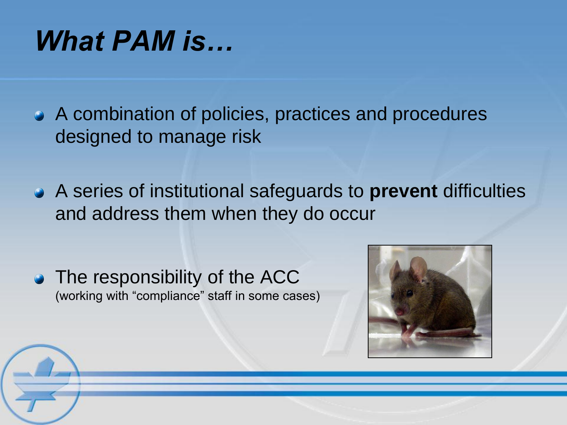### *What PAM is…*

A combination of policies, practices and procedures designed to manage risk

A series of institutional safeguards to **prevent** difficulties and address them when they do occur

• The responsibility of the ACC (working with "compliance" staff in some cases)

Į

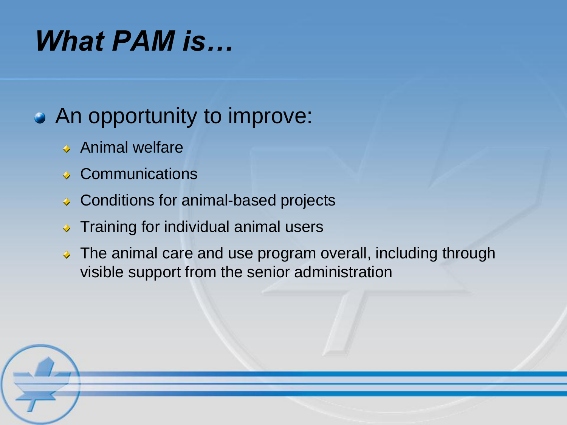### *What PAM is…*

#### An opportunity to improve:

- ◆ Animal welfare
- **◆ Communications**
- ◆ Conditions for animal-based projects
- $\rightarrow$  Training for individual animal users
- $\rightarrow$  The animal care and use program overall, including through visible support from the senior administration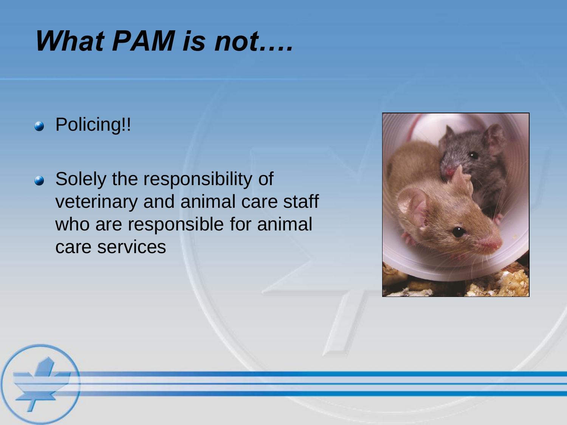### *What PAM is not….*

#### **•** Policing!!

• Solely the responsibility of veterinary and animal care staff who are responsible for animal care services



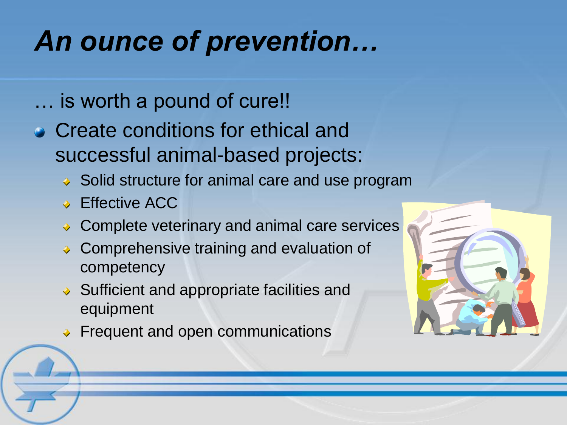# *An ounce of prevention…*

- … is worth a pound of cure!!
- Create conditions for ethical and successful animal-based projects:
	- ◆ Solid structure for animal care and use program
	- **Effective ACC**
	- ◆ Complete veterinary and animal care services
	- **◆ Comprehensive training and evaluation of** competency
	- $\rightarrow$  Sufficient and appropriate facilities and equipment
	- ◆ Frequent and open communications

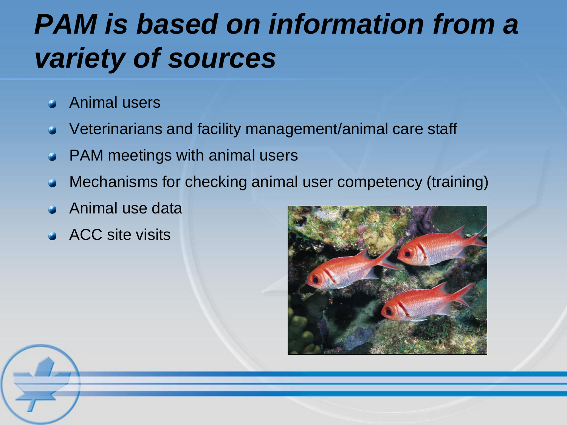# *PAM is based on information from a variety of sources*

- Animal users
- Veterinarians and facility management/animal care staff
- PAM meetings with animal users
- Mechanisms for checking animal user competency (training)
- Animal use data
- ACC site visits

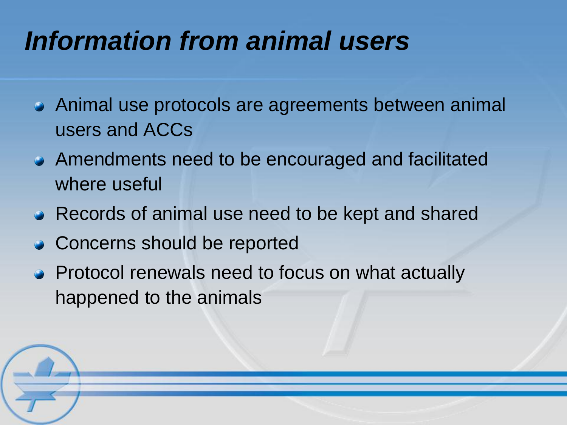### *Information from animal users*

- Animal use protocols are agreements between animal users and ACCs
- Amendments need to be encouraged and facilitated where useful
- Records of animal use need to be kept and shared
- Concerns should be reported
- Protocol renewals need to focus on what actually happened to the animals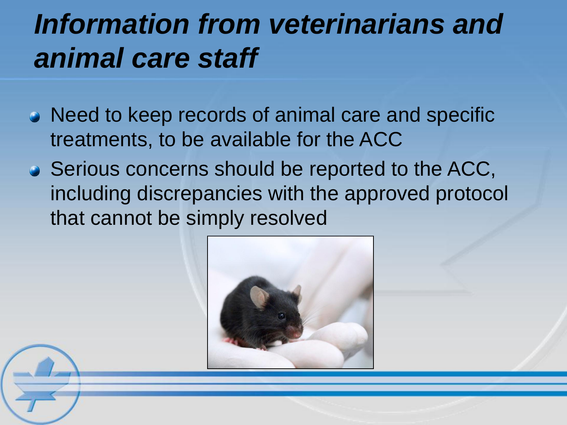## *Information from veterinarians and animal care staff*

- Need to keep records of animal care and specific treatments, to be available for the ACC
- Serious concerns should be reported to the ACC, including discrepancies with the approved protocol that cannot be simply resolved

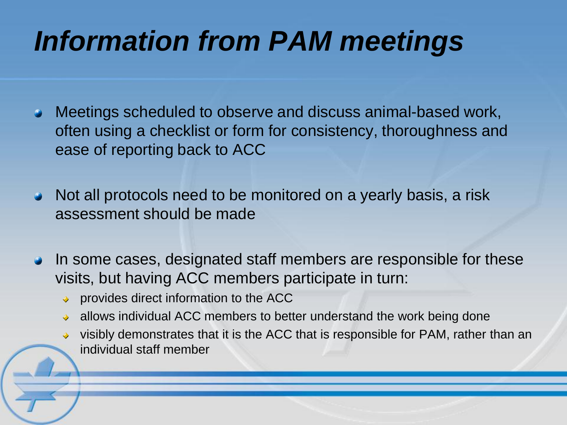# *Information from PAM meetings*

- Meetings scheduled to observe and discuss animal-based work, often using a checklist or form for consistency, thoroughness and ease of reporting back to ACC
- Not all protocols need to be monitored on a yearly basis, a risk assessment should be made
- In some cases, designated staff members are responsible for these visits, but having ACC members participate in turn:
	- provides direct information to the ACC
	- allows individual ACC members to better understand the work being done
	- visibly demonstrates that it is the ACC that is responsible for PAM, rather than an individual staff member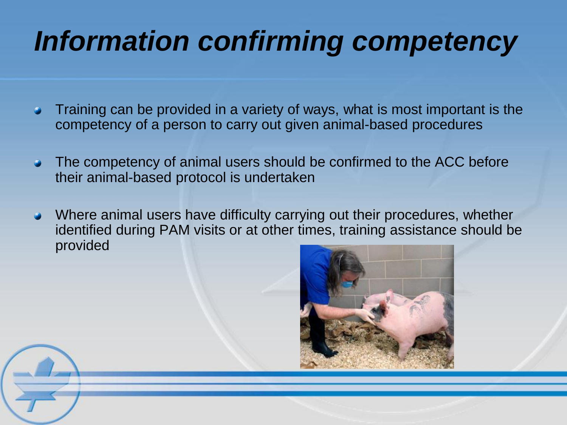# *Information confirming competency*

- Training can be provided in a variety of ways, what is most important is the competency of a person to carry out given animal-based procedures
- The competency of animal users should be confirmed to the ACC before  $\bullet$ their animal-based protocol is undertaken
- Where animal users have difficulty carrying out their procedures, whether identified during PAM visits or at other times, training assistance should be provided



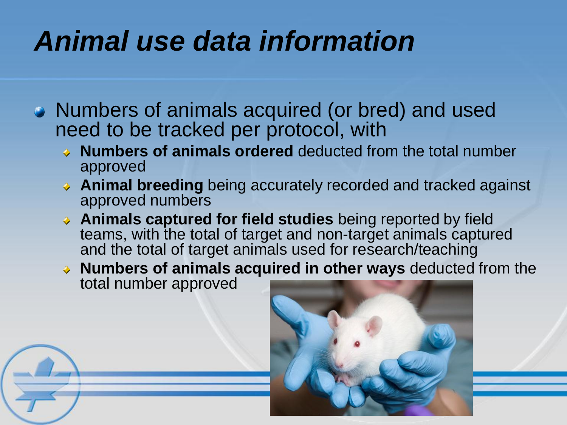# *Animal use data information*

- Numbers of animals acquired (or bred) and used need to be tracked per protocol, with
	- **Numbers of animals ordered** deducted from the total number approved
	- ◆ **Animal breeding** being accurately recorded and tracked against approved numbers
	- **Animals captured for field studies** being reported by field teams, with the total of target and non-target animals captured and the total of target animals used for research/teaching
	- **Numbers of animals acquired in other ways** deducted from the total number approved

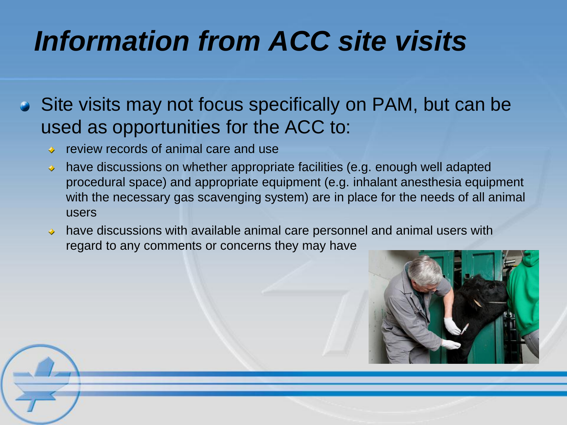# *Information from ACC site visits*

• Site visits may not focus specifically on PAM, but can be used as opportunities for the ACC to:

- ◆ review records of animal care and use
- have discussions on whether appropriate facilities (e.g. enough well adapted procedural space) and appropriate equipment (e.g. inhalant anesthesia equipment with the necessary gas scavenging system) are in place for the needs of all animal users
- have discussions with available animal care personnel and animal users with regard to any comments or concerns they may have

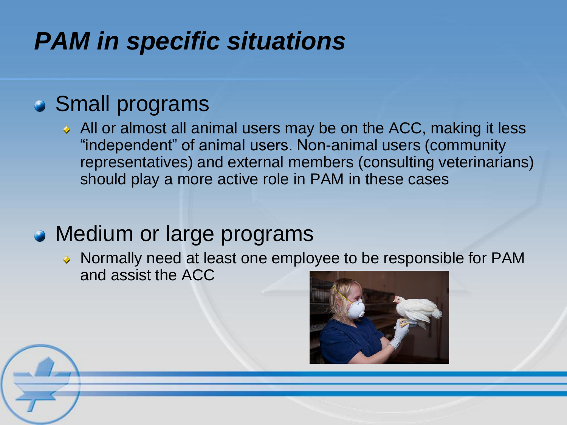#### *PAM in specific situations*

#### Small programs

 $\leftrightarrow$  All or almost all animal users may be on the ACC, making it less "independent" of animal users. Non-animal users (community representatives) and external members (consulting veterinarians) should play a more active role in PAM in these cases

#### • Medium or large programs

 $\rightarrow$  Normally need at least one employee to be responsible for PAM and assist the ACC



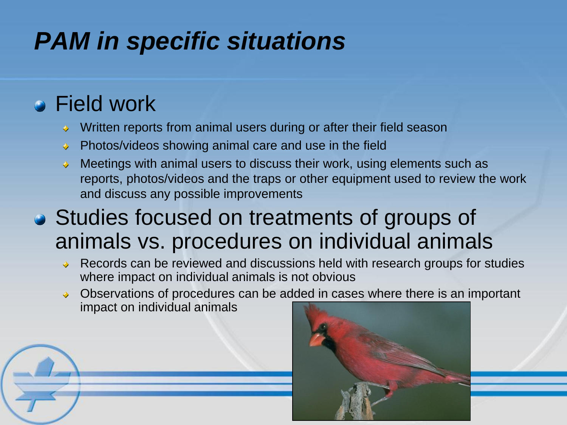### *PAM in specific situations*

#### Field work

- Written reports from animal users during or after their field season ♦
- Photos/videos showing animal care and use in the field  $\ddot{\bullet}$
- Meetings with animal users to discuss their work, using elements such as reports, photos/videos and the traps or other equipment used to review the work and discuss any possible improvements
- Studies focused on treatments of groups of animals vs. procedures on individual animals
	- Records can be reviewed and discussions held with research groups for studies where impact on individual animals is not obvious
	- ◆ Observations of procedures can be added in cases where there is an important impact on individual animals



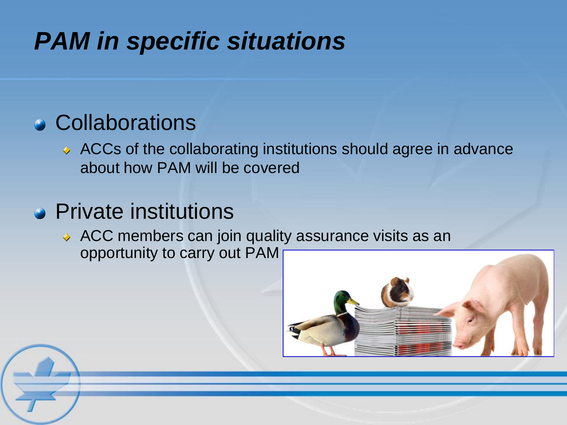#### *PAM in specific situations*

#### Collaborations

◆ ACCs of the collaborating institutions should agree in advance about how PAM will be covered

#### **•** Private institutions

◆ ACC members can join quality assurance visits as an opportunity to carry out PAM

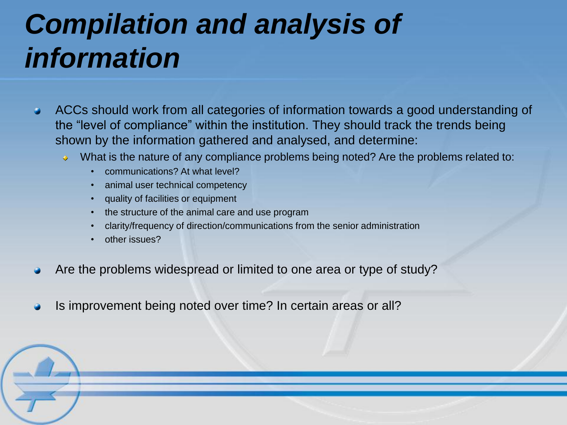# *Compilation and analysis of information*

- ACCs should work from all categories of information towards a good understanding of the "level of compliance" within the institution. They should track the trends being shown by the information gathered and analysed, and determine:
	- What is the nature of any compliance problems being noted? Are the problems related to:  $\ddot{\bullet}$ 
		- communications? At what level?
		- animal user technical competency
		- quality of facilities or equipment
		- the structure of the animal care and use program
		- clarity/frequency of direction/communications from the senior administration
		- other issues?
- Are the problems widespread or limited to one area or type of study?
- Is improvement being noted over time? In certain areas or all?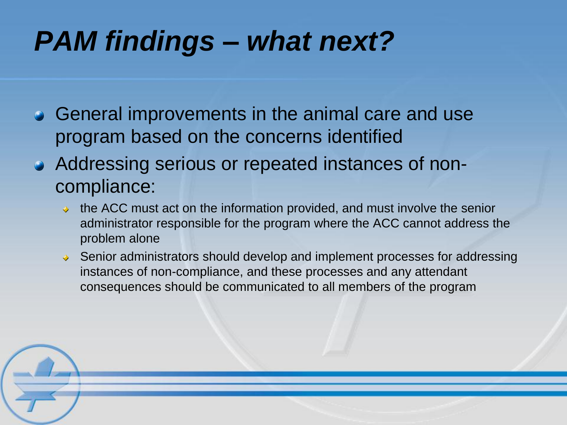## *PAM findings – what next?*

- General improvements in the animal care and use program based on the concerns identified
- Addressing serious or repeated instances of noncompliance:
	- $\rightarrow$  the ACC must act on the information provided, and must involve the senior administrator responsible for the program where the ACC cannot address the problem alone
	- ◆ Senior administrators should develop and implement processes for addressing instances of non-compliance, and these processes and any attendant consequences should be communicated to all members of the program

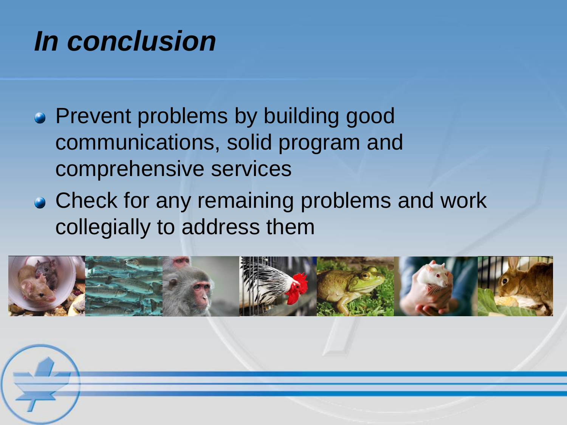### *In conclusion*

- Prevent problems by building good communications, solid program and comprehensive services
- Check for any remaining problems and work collegially to address them